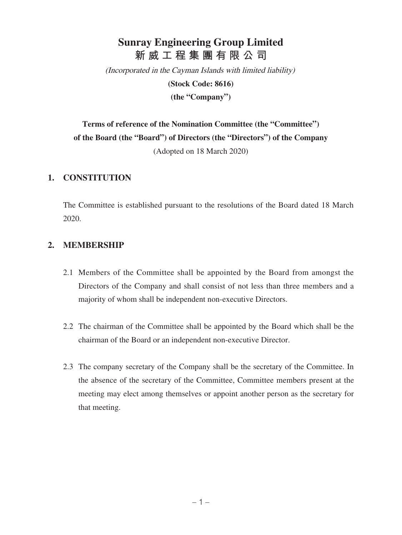# **Sunray Engineering Group Limited 新威工程集團有限公司**

(Incorporated in the Cayman Islands with limited liability)

**(Stock Code: 8616)**

**(the "Company")**

**Terms of reference of the Nomination Committee (the "Committee") of the Board (the "Board") of Directors (the "Directors") of the Company** (Adopted on 18 March 2020)

#### **1. CONSTITUTION**

The Committee is established pursuant to the resolutions of the Board dated 18 March 2020.

## **2. MEMBERSHIP**

- 2.1 Members of the Committee shall be appointed by the Board from amongst the Directors of the Company and shall consist of not less than three members and a majority of whom shall be independent non-executive Directors.
- 2.2 The chairman of the Committee shall be appointed by the Board which shall be the chairman of the Board or an independent non-executive Director.
- 2.3 The company secretary of the Company shall be the secretary of the Committee. In the absence of the secretary of the Committee, Committee members present at the meeting may elect among themselves or appoint another person as the secretary for that meeting.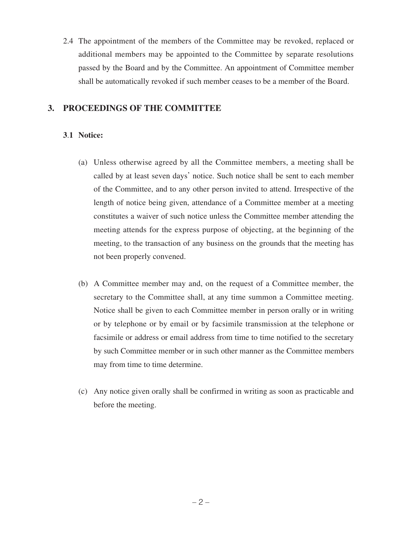2.4 The appointment of the members of the Committee may be revoked, replaced or additional members may be appointed to the Committee by separate resolutions passed by the Board and by the Committee. An appointment of Committee member shall be automatically revoked if such member ceases to be a member of the Board.

## **3. PROCEEDINGS OF THE COMMITTEE**

## **3**.**1 Notice:**

- (a) Unless otherwise agreed by all the Committee members, a meeting shall be called by at least seven days' notice. Such notice shall be sent to each member of the Committee, and to any other person invited to attend. Irrespective of the length of notice being given, attendance of a Committee member at a meeting constitutes a waiver of such notice unless the Committee member attending the meeting attends for the express purpose of objecting, at the beginning of the meeting, to the transaction of any business on the grounds that the meeting has not been properly convened.
- (b) A Committee member may and, on the request of a Committee member, the secretary to the Committee shall, at any time summon a Committee meeting. Notice shall be given to each Committee member in person orally or in writing or by telephone or by email or by facsimile transmission at the telephone or facsimile or address or email address from time to time notified to the secretary by such Committee member or in such other manner as the Committee members may from time to time determine.
- (c) Any notice given orally shall be confirmed in writing as soon as practicable and before the meeting.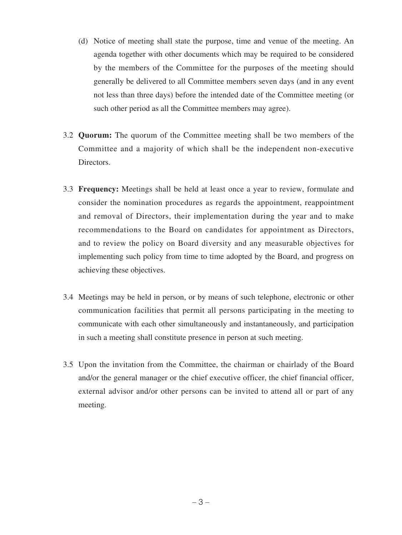- (d) Notice of meeting shall state the purpose, time and venue of the meeting. An agenda together with other documents which may be required to be considered by the members of the Committee for the purposes of the meeting should generally be delivered to all Committee members seven days (and in any event not less than three days) before the intended date of the Committee meeting (or such other period as all the Committee members may agree).
- 3.2 **Quorum:** The quorum of the Committee meeting shall be two members of the Committee and a majority of which shall be the independent non-executive Directors.
- 3.3 **Frequency:** Meetings shall be held at least once a year to review, formulate and consider the nomination procedures as regards the appointment, reappointment and removal of Directors, their implementation during the year and to make recommendations to the Board on candidates for appointment as Directors, and to review the policy on Board diversity and any measurable objectives for implementing such policy from time to time adopted by the Board, and progress on achieving these objectives.
- 3.4 Meetings may be held in person, or by means of such telephone, electronic or other communication facilities that permit all persons participating in the meeting to communicate with each other simultaneously and instantaneously, and participation in such a meeting shall constitute presence in person at such meeting.
- 3.5 Upon the invitation from the Committee, the chairman or chairlady of the Board and/or the general manager or the chief executive officer, the chief financial officer, external advisor and/or other persons can be invited to attend all or part of any meeting.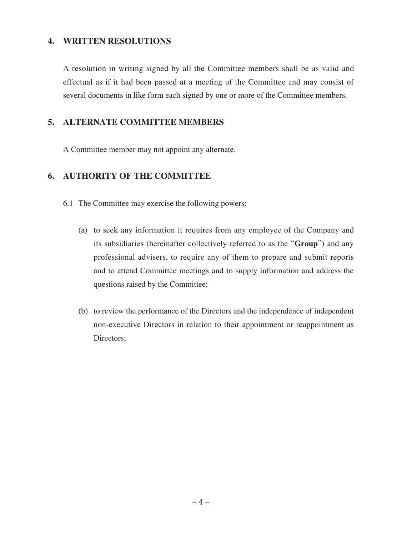### **4. WRITTEN RESOLUTIONS**

A resolution in writing signed by all the Committee members shall be as valid and effectual as if it had been passed at a meeting of the Committee and may consist of several documents in like form each signed by one or more of the Committee members.

## **5. ALTERNATE COMMITTEE MEMBERS**

A Committee member may not appoint any alternate.

## **6. AUTHORITY OF THE COMMITTEE**

- 6.1 The Committee may exercise the following powers:
	- (a) to seek any information it requires from any employee of the Company and its subsidiaries (hereinafter collectively referred to as the "**Group**") and any professional advisers, to require any of them to prepare and submit reports and to attend Committee meetings and to supply information and address the questions raised by the Committee;
	- (b) to review the performance of the Directors and the independence of independent non-executive Directors in relation to their appointment or reappointment as Directors;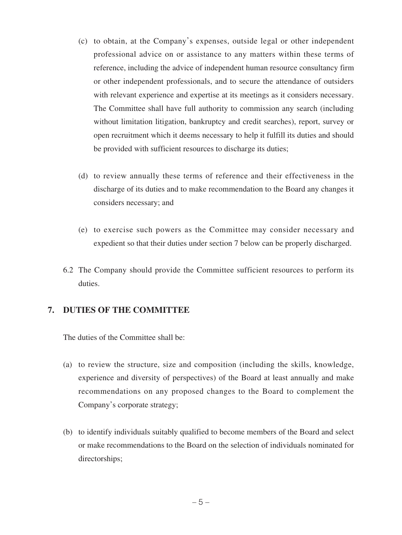- (c) to obtain, at the Company's expenses, outside legal or other independent professional advice on or assistance to any matters within these terms of reference, including the advice of independent human resource consultancy firm or other independent professionals, and to secure the attendance of outsiders with relevant experience and expertise at its meetings as it considers necessary. The Committee shall have full authority to commission any search (including without limitation litigation, bankruptcy and credit searches), report, survey or open recruitment which it deems necessary to help it fulfill its duties and should be provided with sufficient resources to discharge its duties;
- (d) to review annually these terms of reference and their effectiveness in the discharge of its duties and to make recommendation to the Board any changes it considers necessary; and
- (e) to exercise such powers as the Committee may consider necessary and expedient so that their duties under section 7 below can be properly discharged.
- 6.2 The Company should provide the Committee sufficient resources to perform its duties.

#### **7. DUTIES OF THE COMMITTEE**

The duties of the Committee shall be:

- (a) to review the structure, size and composition (including the skills, knowledge, experience and diversity of perspectives) of the Board at least annually and make recommendations on any proposed changes to the Board to complement the Company's corporate strategy;
- (b) to identify individuals suitably qualified to become members of the Board and select or make recommendations to the Board on the selection of individuals nominated for directorships;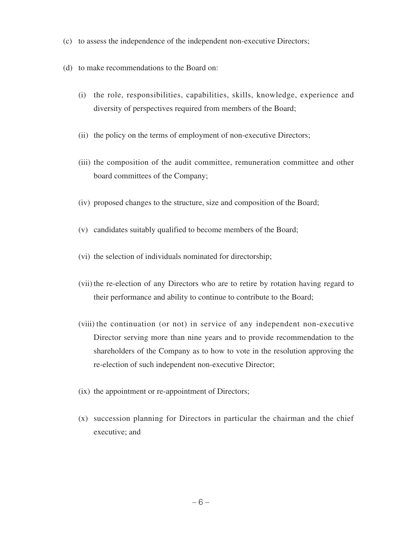- (c) to assess the independence of the independent non-executive Directors;
- (d) to make recommendations to the Board on:
	- (i) the role, responsibilities, capabilities, skills, knowledge, experience and diversity of perspectives required from members of the Board;
	- (ii) the policy on the terms of employment of non-executive Directors;
	- (iii) the composition of the audit committee, remuneration committee and other board committees of the Company;
	- (iv) proposed changes to the structure, size and composition of the Board;
	- (v) candidates suitably qualified to become members of the Board;
	- (vi) the selection of individuals nominated for directorship;
	- (vii) the re-election of any Directors who are to retire by rotation having regard to their performance and ability to continue to contribute to the Board;
	- (viii) the continuation (or not) in service of any independent non-executive Director serving more than nine years and to provide recommendation to the shareholders of the Company as to how to vote in the resolution approving the re-election of such independent non-executive Director;
	- (ix) the appointment or re-appointment of Directors;
	- (x) succession planning for Directors in particular the chairman and the chief executive; and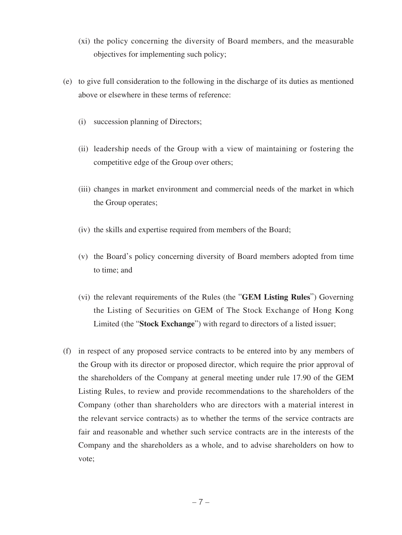- (xi) the policy concerning the diversity of Board members, and the measurable objectives for implementing such policy;
- (e) to give full consideration to the following in the discharge of its duties as mentioned above or elsewhere in these terms of reference:
	- (i) succession planning of Directors;
	- (ii) leadership needs of the Group with a view of maintaining or fostering the competitive edge of the Group over others;
	- (iii) changes in market environment and commercial needs of the market in which the Group operates;
	- (iv) the skills and expertise required from members of the Board;
	- (v) the Board's policy concerning diversity of Board members adopted from time to time; and
	- (vi) the relevant requirements of the Rules (the "**GEM Listing Rules**") Governing the Listing of Securities on GEM of The Stock Exchange of Hong Kong Limited (the "**Stock Exchange**") with regard to directors of a listed issuer;
- (f) in respect of any proposed service contracts to be entered into by any members of the Group with its director or proposed director, which require the prior approval of the shareholders of the Company at general meeting under rule 17.90 of the GEM Listing Rules, to review and provide recommendations to the shareholders of the Company (other than shareholders who are directors with a material interest in the relevant service contracts) as to whether the terms of the service contracts are fair and reasonable and whether such service contracts are in the interests of the Company and the shareholders as a whole, and to advise shareholders on how to vote;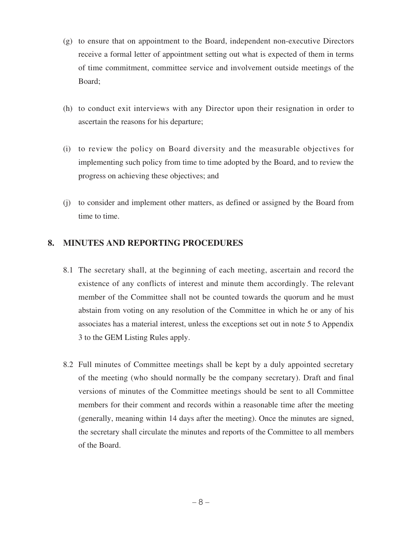- (g) to ensure that on appointment to the Board, independent non-executive Directors receive a formal letter of appointment setting out what is expected of them in terms of time commitment, committee service and involvement outside meetings of the Board;
- (h) to conduct exit interviews with any Director upon their resignation in order to ascertain the reasons for his departure;
- (i) to review the policy on Board diversity and the measurable objectives for implementing such policy from time to time adopted by the Board, and to review the progress on achieving these objectives; and
- (j) to consider and implement other matters, as defined or assigned by the Board from time to time.

## **8. MINUTES AND REPORTING PROCEDURES**

- 8.1 The secretary shall, at the beginning of each meeting, ascertain and record the existence of any conflicts of interest and minute them accordingly. The relevant member of the Committee shall not be counted towards the quorum and he must abstain from voting on any resolution of the Committee in which he or any of his associates has a material interest, unless the exceptions set out in note 5 to Appendix 3 to the GEM Listing Rules apply.
- 8.2 Full minutes of Committee meetings shall be kept by a duly appointed secretary of the meeting (who should normally be the company secretary). Draft and final versions of minutes of the Committee meetings should be sent to all Committee members for their comment and records within a reasonable time after the meeting (generally, meaning within 14 days after the meeting). Once the minutes are signed, the secretary shall circulate the minutes and reports of the Committee to all members of the Board.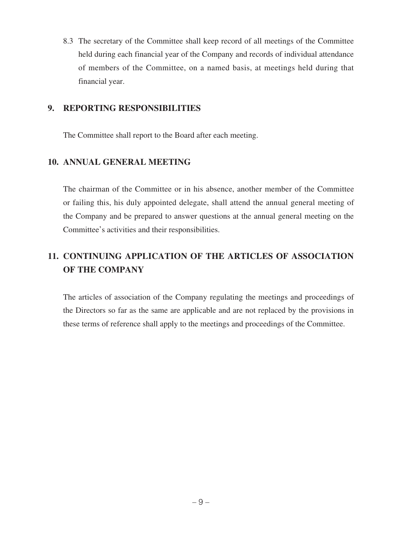8.3 The secretary of the Committee shall keep record of all meetings of the Committee held during each financial year of the Company and records of individual attendance of members of the Committee, on a named basis, at meetings held during that financial year.

#### **9. REPORTING RESPONSIBILITIES**

The Committee shall report to the Board after each meeting.

## **10. ANNUAL GENERAL MEETING**

The chairman of the Committee or in his absence, another member of the Committee or failing this, his duly appointed delegate, shall attend the annual general meeting of the Company and be prepared to answer questions at the annual general meeting on the Committee's activities and their responsibilities.

# **11. CONTINUING APPLICATION OF THE ARTICLES OF ASSOCIATION OF THE COMPANY**

The articles of association of the Company regulating the meetings and proceedings of the Directors so far as the same are applicable and are not replaced by the provisions in these terms of reference shall apply to the meetings and proceedings of the Committee.